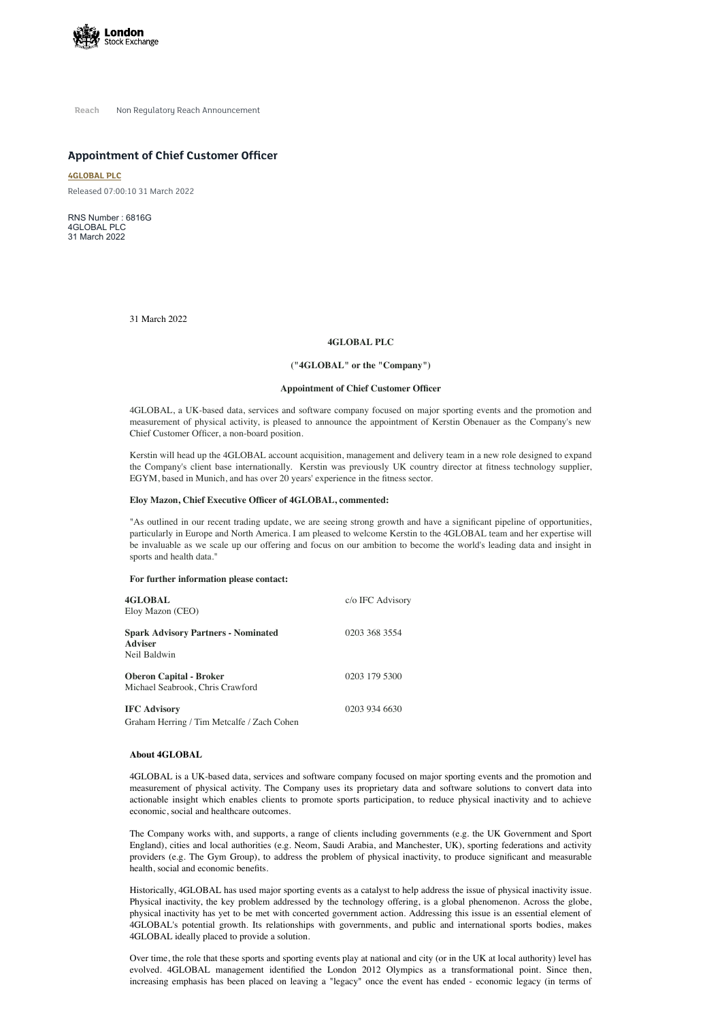

**Reach** Non Regulatory Reach Announcement

# **Appointment of Chief Customer Officer**

**[4GLOBAL](https://www.londonstockexchange.com/stock/4GBL/4global-plc) PLC**

Released 07:00:10 31 March 2022

RNS Number : 6816G 4GLOBAL PLC 31 March 2022

31 March 2022

## **4GLOBAL PLC**

## **("4GLOBAL" or the "Company")**

#### **Appointment of Chief Customer Officer**

4GLOBAL, a UK-based data, services and software company focused on major sporting events and the promotion and measurement of physical activity, is pleased to announce the appointment of Kerstin Obenauer as the Company's new Chief Customer Officer, a non-board position.

Kerstin will head up the 4GLOBAL account acquisition, management and delivery team in a new role designed to expand the Company's client base internationally. Kerstin was previously UK country director at fitness technology supplier, EGYM, based in Munich, and has over 20 years' experience in the fitness sector.

## **Eloy Mazon, Chief Executive Officer of 4GLOBAL, commented:**

"As outlined in our recent trading update, we are seeing strong growth and have a significant pipeline of opportunities, particularly in Europe and North America. I am pleased to welcome Kerstin to the 4GLOBAL team and her expertise will be invaluable as we scale up our offering and focus on our ambition to become the world's leading data and insight in sports and health data."

#### **For further information please contact:**

| 4GLOBAL<br>Eloy Mazon (CEO)                                                  | c/o IFC Advisory |
|------------------------------------------------------------------------------|------------------|
| <b>Spark Advisory Partners - Nominated</b><br><b>Adviser</b><br>Neil Baldwin | 0203 368 3554    |
| <b>Oberon Capital - Broker</b><br>Michael Seabrook, Chris Crawford           | 0203 179 5300    |
| <b>IFC Advisory</b><br>Graham Herring / Tim Metcalfe / Zach Cohen            | 0203 934 6630    |

**About 4GLOBAL**

4GLOBAL is a UK-based data, services and software company focused on major sporting events and the promotion and measurement of physical activity. The Company uses its proprietary data and software solutions to convert data into actionable insight which enables clients to promote sports participation, to reduce physical inactivity and to achieve economic, social and healthcare outcomes.

The Company works with, and supports, a range of clients including governments (e.g. the UK Government and Sport England), cities and local authorities (e.g. Neom, Saudi Arabia, and Manchester, UK), sporting federations and activity providers (e.g. The Gym Group), to address the problem of physical inactivity, to produce significant and measurable health, social and economic benefits.

Historically, 4GLOBAL has used major sporting events as a catalyst to help address the issue of physical inactivity issue. Physical inactivity, the key problem addressed by the technology offering, is a global phenomenon. Across the globe, physical inactivity has yet to be met with concerted government action. Addressing this issue is an essential element of 4GLOBAL's potential growth. Its relationships with governments, and public and international sports bodies, makes 4GLOBAL ideally placed to provide a solution.

Over time, the role that these sports and sporting events play at national and city (or in the UK at local authority) level has evolved. 4GLOBAL management identified the London 2012 Olympics as a transformational point. Since then, increasing emphasis has been placed on leaving a "legacy" once the event has ended - economic legacy (in terms of